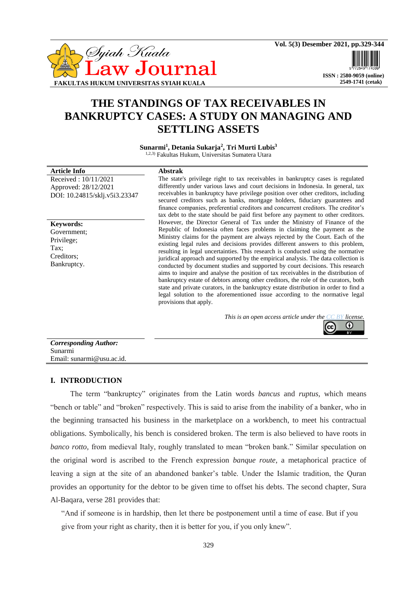

 **ISSN : 2580-9059 (online) 2549-1741 (cetak)**

O

# **THE STANDINGS OF TAX RECEIVABLES IN BANKRUPTCY CASES: A STUDY ON MANAGING AND SETTLING ASSETS**

**Sunarmi<sup>1</sup> , Detania Sukarja<sup>2</sup> , Tri Murti Lubis<sup>3</sup>** 1,2,3) Fakultas Hukum, Universitas Sumatera Utara

| <b>Article Info</b>           |
|-------------------------------|
| Received: $10/11/2021$        |
| Approved: 28/12/2021          |
| DOI: 10.24815/sklj.v5i3.23347 |

**Keywords:** Government; Privilege; Tax<sup>-</sup> Creditors; Bankruptcy.

# **Article Info Abstrak**

The state's privilege right to tax receivables in bankruptcy cases is regulated differently under various laws and court decisions in Indonesia. In general, tax receivables in bankruptcy have privilege position over other creditors, including secured creditors such as banks, mortgage holders, fiduciary guarantees and finance companies, preferential creditors and concurrent creditors. The creditor's tax debt to the state should be paid first before any payment to other creditors. However, the Director General of Tax under the Ministry of Finance of the Republic of Indonesia often faces problems in claiming the payment as the Ministry claims for the payment are always rejected by the Court. Each of the existing legal rules and decisions provides different answers to this problem, resulting in legal uncertainties. This research is conducted using the normative juridical approach and supported by the empirical analysis. The data collection is conducted by document studies and supported by court decisions. This research aims to inquire and analyse the position of tax receivables in the distribution of bankruptcy estate of debtors among other creditors, the role of the curators, both state and private curators, in the bankruptcy estate distribution in order to find a legal solution to the aforementioned issue according to the normative legal provisions that apply.

| This is an open access article under the $\overline{CC}$ BY license. |  |  |  |
|----------------------------------------------------------------------|--|--|--|
|                                                                      |  |  |  |

| <b>Corresponding Author:</b> |
|------------------------------|
| Sunarmi                      |
| Email: sunarmi@usu.ac.id.    |

# **I. INTRODUCTION**

The term "bankruptcy" originates from the Latin words *bancus* and *ruptus,* which means "bench or table" and "broken" respectively. This is said to arise from the inability of a banker, who in the beginning transacted his business in the marketplace on a workbench, to meet his contractual obligations. Symbolically, his bench is considered broken. The term is also believed to have roots in *banco rotto,* from medieval Italy, roughly translated to mean "broken bank." Similar speculation on the original word is ascribed to the French expression *banque route*, a metaphorical practice of leaving a sign at the site of an abandoned banker's table. Under the Islamic tradition, the Quran provides an opportunity for the debtor to be given time to offset his debts. The second chapter, Sura Al-Baqara, verse 281 provides that:

"And if someone is in hardship, then let there be postponement until a time of ease. But if you give from your right as charity, then it is better for you, if you only knew".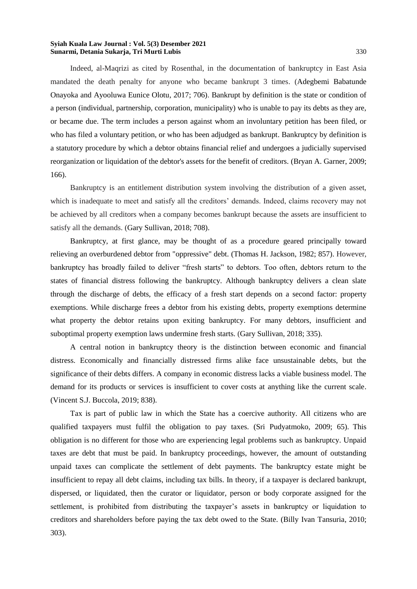Indeed, al-Maqrizi as cited by Rosenthal, in the documentation of bankruptcy in East Asia mandated the death penalty for anyone who became bankrupt 3 times. (Adegbemi Babatunde Onayoka and Ayooluwa Eunice Olotu, 2017; 706). Bankrupt by definition is the state or condition of a person (individual, partnership, corporation, municipality) who is unable to pay its debts as they are, or became due. The term includes a person against whom an involuntary petition has been filed, or who has filed a voluntary petition, or who has been adjudged as bankrupt. Bankruptcy by definition is a statutory procedure by which a debtor obtains financial relief and undergoes a judicially supervised reorganization or liquidation of the debtor's assets for the benefit of creditors. (Bryan A. Garner, 2009; 166).

Bankruptcy is an entitlement distribution system involving the distribution of a given asset, which is inadequate to meet and satisfy all the creditors' demands. Indeed, claims recovery may not be achieved by all creditors when a company becomes bankrupt because the assets are insufficient to satisfy all the demands. (Gary Sullivan, 2018; 708).

Bankruptcy, at first glance, may be thought of as a procedure geared principally toward relieving an overburdened debtor from "oppressive" debt. (Thomas H. Jackson, 1982; 857). However, bankruptcy has broadly failed to deliver "fresh starts" to debtors. Too often, debtors return to the states of financial distress following the bankruptcy. Although bankruptcy delivers a clean slate through the discharge of debts, the efficacy of a fresh start depends on a second factor: property exemptions. While discharge frees a debtor from his existing debts, property exemptions determine what property the debtor retains upon exiting bankruptcy. For many debtors, insufficient and suboptimal property exemption laws undermine fresh starts. (Gary Sullivan, 2018; 335).

A central notion in bankruptcy theory is the distinction between economic and financial distress. Economically and financially distressed firms alike face unsustainable debts, but the significance of their debts differs. A company in economic distress lacks a viable business model. The demand for its products or services is insufficient to cover costs at anything like the current scale. (Vincent S.J. Buccola, 2019; 838).

Tax is part of public law in which the State has a coercive authority. All citizens who are qualified taxpayers must fulfil the obligation to pay taxes. (Sri Pudyatmoko, 2009; 65). This obligation is no different for those who are experiencing legal problems such as bankruptcy. Unpaid taxes are debt that must be paid. In bankruptcy proceedings, however, the amount of outstanding unpaid taxes can complicate the settlement of debt payments. The bankruptcy estate might be insufficient to repay all debt claims, including tax bills. In theory, if a taxpayer is declared bankrupt, dispersed, or liquidated, then the curator or liquidator, person or body corporate assigned for the settlement, is prohibited from distributing the taxpayer's assets in bankruptcy or liquidation to creditors and shareholders before paying the tax debt owed to the State. (Billy Ivan Tansuria, 2010; 303).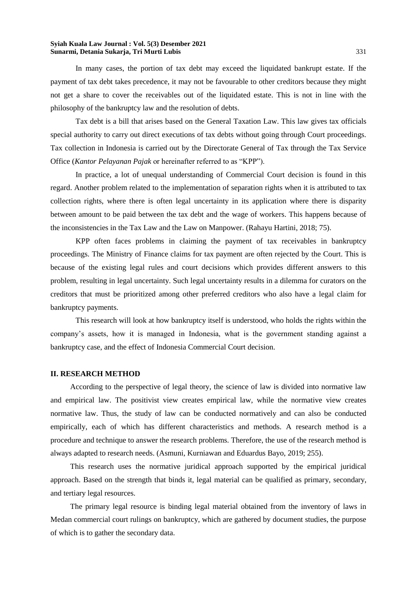In many cases, the portion of tax debt may exceed the liquidated bankrupt estate. If the payment of tax debt takes precedence, it may not be favourable to other creditors because they might not get a share to cover the receivables out of the liquidated estate. This is not in line with the philosophy of the bankruptcy law and the resolution of debts.

Tax debt is a bill that arises based on the General Taxation Law. This law gives tax officials special authority to carry out direct executions of tax debts without going through Court proceedings. Tax collection in Indonesia is carried out by the Directorate General of Tax through the Tax Service Office (*Kantor Pelayanan Pajak* or hereinafter referred to as "KPP").

In practice, a lot of unequal understanding of Commercial Court decision is found in this regard. Another problem related to the implementation of separation rights when it is attributed to tax collection rights, where there is often legal uncertainty in its application where there is disparity between amount to be paid between the tax debt and the wage of workers. This happens because of the inconsistencies in the Tax Law and the Law on Manpower. (Rahayu Hartini, 2018; 75).

KPP often faces problems in claiming the payment of tax receivables in bankruptcy proceedings. The Ministry of Finance claims for tax payment are often rejected by the Court. This is because of the existing legal rules and court decisions which provides different answers to this problem, resulting in legal uncertainty. Such legal uncertainty results in a dilemma for curators on the creditors that must be prioritized among other preferred creditors who also have a legal claim for bankruptcy payments.

This research will look at how bankruptcy itself is understood, who holds the rights within the company's assets, how it is managed in Indonesia, what is the government standing against a bankruptcy case, and the effect of Indonesia Commercial Court decision.

# **II. RESEARCH METHOD**

According to the perspective of legal theory, the science of law is divided into normative law and empirical law. The positivist view creates empirical law, while the normative view creates normative law. Thus, the study of law can be conducted normatively and can also be conducted empirically, each of which has different characteristics and methods. A research method is a procedure and technique to answer the research problems. Therefore, the use of the research method is always adapted to research needs. (Asmuni, Kurniawan and Eduardus Bayo, 2019; 255).

This research uses the normative juridical approach supported by the empirical juridical approach. Based on the strength that binds it, legal material can be qualified as primary, secondary, and tertiary legal resources.

The primary legal resource is binding legal material obtained from the inventory of laws in Medan commercial court rulings on bankruptcy, which are gathered by document studies, the purpose of which is to gather the secondary data.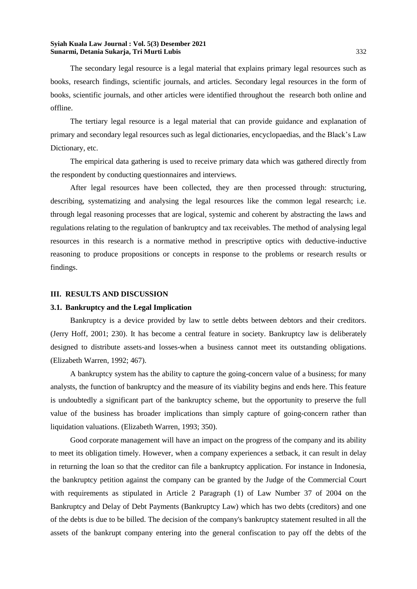The secondary legal resource is a legal material that explains primary legal resources such as books, research findings, scientific journals, and articles. Secondary legal resources in the form of books, scientific journals, and other articles were identified throughout the research both online and offline.

The tertiary legal resource is a legal material that can provide guidance and explanation of primary and secondary legal resources such as legal dictionaries, encyclopaedias, and the Black's Law Dictionary, etc.

The empirical data gathering is used to receive primary data which was gathered directly from the respondent by conducting questionnaires and interviews.

After legal resources have been collected, they are then processed through: structuring, describing, systematizing and analysing the legal resources like the common legal research; i.e. through legal reasoning processes that are logical, systemic and coherent by abstracting the laws and regulations relating to the regulation of bankruptcy and tax receivables. The method of analysing legal resources in this research is a normative method in prescriptive optics with deductive-inductive reasoning to produce propositions or concepts in response to the problems or research results or findings.

# **III. RESULTS AND DISCUSSION**

# **3.1. Bankruptcy and the Legal Implication**

Bankruptcy is a device provided by law to settle debts between debtors and their creditors. (Jerry Hoff, 2001; 230). It has become a central feature in society. Bankruptcy law is deliberately designed to distribute assets-and losses-when a business cannot meet its outstanding obligations. (Elizabeth Warren, 1992; 467).

A bankruptcy system has the ability to capture the going-concern value of a business; for many analysts, the function of bankruptcy and the measure of its viability begins and ends here. This feature is undoubtedly a significant part of the bankruptcy scheme, but the opportunity to preserve the full value of the business has broader implications than simply capture of going-concern rather than liquidation valuations. (Elizabeth Warren, 1993; 350).

Good corporate management will have an impact on the progress of the company and its ability to meet its obligation timely. However, when a company experiences a setback, it can result in delay in returning the loan so that the creditor can file a bankruptcy application. For instance in Indonesia, the bankruptcy petition against the company can be granted by the Judge of the Commercial Court with requirements as stipulated in Article 2 Paragraph (1) of Law Number 37 of 2004 on the Bankruptcy and Delay of Debt Payments (Bankruptcy Law) which has two debts (creditors) and one of the debts is due to be billed. The decision of the company's bankruptcy statement resulted in all the assets of the bankrupt company entering into the general confiscation to pay off the debts of the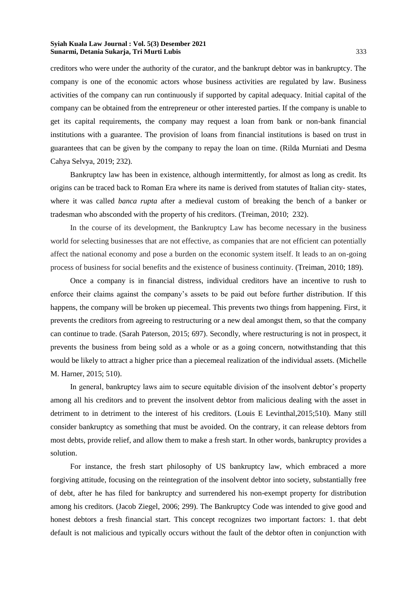creditors who were under the authority of the curator, and the bankrupt debtor was in bankruptcy. The company is one of the economic actors whose business activities are regulated by law. Business activities of the company can run continuously if supported by capital adequacy. Initial capital of the company can be obtained from the entrepreneur or other interested parties. If the company is unable to get its capital requirements, the company may request a loan from bank or non-bank financial institutions with a guarantee. The provision of loans from financial institutions is based on trust in guarantees that can be given by the company to repay the loan on time. (Rilda Murniati and Desma Cahya Selvya, 2019; 232).

Bankruptcy law has been in existence, although intermittently, for almost as long as credit. Its origins can be traced back to Roman Era where its name is derived from statutes of Italian city- states, where it was called *banca rupta* after a medieval custom of breaking the bench of a banker or tradesman who absconded with the property of his creditors. (Treiman, 2010; 232).

In the course of its development, the Bankruptcy Law has become necessary in the business world for selecting businesses that are not effective, as companies that are not efficient can potentially affect the national economy and pose a burden on the economic system itself. It leads to an on-going process of business for social benefits and the existence of business continuity. (Treiman, 2010; 189).

Once a company is in financial distress, individual creditors have an incentive to rush to enforce their claims against the company's assets to be paid out before further distribution. If this happens, the company will be broken up piecemeal. This prevents two things from happening. First, it prevents the creditors from agreeing to restructuring or a new deal amongst them, so that the company can continue to trade. (Sarah Paterson, 2015; 697). Secondly, where restructuring is not in prospect, it prevents the business from being sold as a whole or as a going concern, notwithstanding that this would be likely to attract a higher price than a piecemeal realization of the individual assets. (Michelle M. Harner, 2015; 510).

In general, bankruptcy laws aim to secure equitable division of the insolvent debtor's property among all his creditors and to prevent the insolvent debtor from malicious dealing with the asset in detriment to in detriment to the interest of his creditors. (Louis E Levinthal,2015;510). Many still consider bankruptcy as something that must be avoided. On the contrary, it can release debtors from most debts, provide relief, and allow them to make a fresh start. In other words, bankruptcy provides a solution.

For instance, the fresh start philosophy of US bankruptcy law, which embraced a more forgiving attitude, focusing on the reintegration of the insolvent debtor into society, substantially free of debt, after he has filed for bankruptcy and surrendered his non-exempt property for distribution among his creditors. (Jacob Ziegel, 2006; 299). The Bankruptcy Code was intended to give good and honest debtors a fresh financial start. This concept recognizes two important factors: 1. that debt default is not malicious and typically occurs without the fault of the debtor often in conjunction with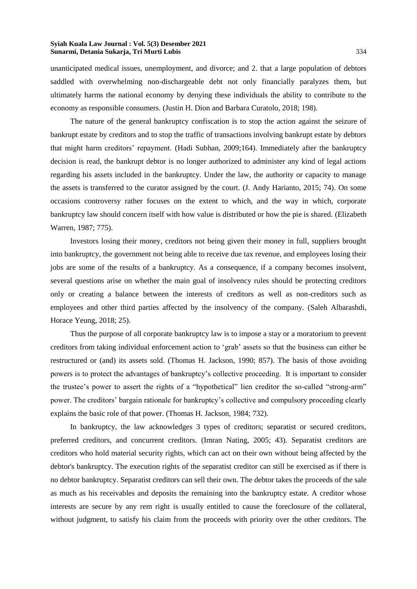unanticipated medical issues, unemployment, and divorce; and 2. that a large population of debtors saddled with overwhelming non-dischargeable debt not only financially paralyzes them, but ultimately harms the national economy by denying these individuals the ability to contribute to the economy as responsible consumers. (Justin H. Dion and Barbara Curatolo, 2018; 198).

The nature of the general bankruptcy confiscation is to stop the action against the seizure of bankrupt estate by creditors and to stop the traffic of transactions involving bankrupt estate by debtors that might harm creditors' repayment. (Hadi Subhan, 2009;164). Immediately after the bankruptcy decision is read, the bankrupt debtor is no longer authorized to administer any kind of legal actions regarding his assets included in the bankruptcy. Under the law, the authority or capacity to manage the assets is transferred to the curator assigned by the court. (J. Andy Harianto, 2015; 74). On some occasions controversy rather focuses on the extent to which, and the way in which, corporate bankruptcy law should concern itself with how value is distributed or how the pie is shared. (Elizabeth Warren, 1987; 775).

Investors losing their money, creditors not being given their money in full, suppliers brought into bankruptcy, the government not being able to receive due tax revenue, and employees losing their jobs are some of the results of a bankruptcy. As a consequence, if a company becomes insolvent, several questions arise on whether the main goal of insolvency rules should be protecting creditors only or creating a balance between the interests of creditors as well as non-creditors such as employees and other third parties affected by the insolvency of the company. (Saleh Albarashdi, Horace Yeung, 2018; 25).

Thus the purpose of all corporate bankruptcy law is to impose a stay or a moratorium to prevent creditors from taking individual enforcement action to 'grab' assets so that the business can either be restructured or (and) its assets sold. (Thomas H. Jackson, 1990; 857). The basis of those avoiding powers is to protect the advantages of bankruptcy's collective proceeding. It is important to consider the trustee's power to assert the rights of a "hypothetical" lien creditor the so-called "strong-arm" power. The creditors' bargain rationale for bankruptcy's collective and compulsory proceeding clearly explains the basic role of that power. (Thomas H. Jackson, 1984; 732).

In bankruptcy, the law acknowledges 3 types of creditors; separatist or secured creditors, preferred creditors, and concurrent creditors. (Imran Nating, 2005; 43). Separatist creditors are creditors who hold material security rights, which can act on their own without being affected by the debtor's bankruptcy. The execution rights of the separatist creditor can still be exercised as if there is no debtor bankruptcy. Separatist creditors can sell their own. The debtor takes the proceeds of the sale as much as his receivables and deposits the remaining into the bankruptcy estate. A creditor whose interests are secure by any rem right is usually entitled to cause the foreclosure of the collateral, without judgment, to satisfy his claim from the proceeds with priority over the other creditors. The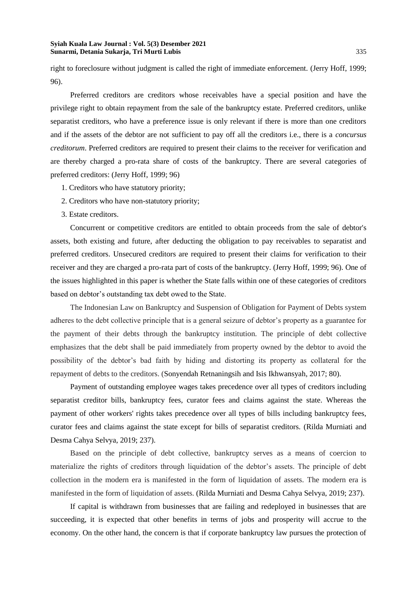right to foreclosure without judgment is called the right of immediate enforcement. (Jerry Hoff, 1999; 96).

Preferred creditors are creditors whose receivables have a special position and have the privilege right to obtain repayment from the sale of the bankruptcy estate. Preferred creditors, unlike separatist creditors, who have a preference issue is only relevant if there is more than one creditors and if the assets of the debtor are not sufficient to pay off all the creditors i.e., there is a *concursus creditorum*. Preferred creditors are required to present their claims to the receiver for verification and are thereby charged a pro-rata share of costs of the bankruptcy. There are several categories of preferred creditors: (Jerry Hoff, 1999; 96)

- 1. Creditors who have statutory priority;
- 2. Creditors who have non-statutory priority;
- 3. Estate creditors.

Concurrent or competitive creditors are entitled to obtain proceeds from the sale of debtor's assets, both existing and future, after deducting the obligation to pay receivables to separatist and preferred creditors. Unsecured creditors are required to present their claims for verification to their receiver and they are charged a pro-rata part of costs of the bankruptcy. (Jerry Hoff, 1999; 96). One of the issues highlighted in this paper is whether the State falls within one of these categories of creditors based on debtor's outstanding tax debt owed to the State.

The Indonesian Law on Bankruptcy and Suspension of Obligation for Payment of Debts system adheres to the debt collective principle that is a general seizure of debtor's property as a guarantee for the payment of their debts through the bankruptcy institution. The principle of debt collective emphasizes that the debt shall be paid immediately from property owned by the debtor to avoid the possibility of the debtor's bad faith by hiding and distorting its property as collateral for the repayment of debts to the creditors. (Sonyendah Retnaningsih and Isis Ikhwansyah, 2017; 80).

Payment of outstanding employee wages takes precedence over all types of creditors including separatist creditor bills, bankruptcy fees, curator fees and claims against the state. Whereas the payment of other workers' rights takes precedence over all types of bills including bankruptcy fees, curator fees and claims against the state except for bills of separatist creditors. (Rilda Murniati and Desma Cahya Selvya, 2019; 237).

Based on the principle of debt collective, bankruptcy serves as a means of coercion to materialize the rights of creditors through liquidation of the debtor's assets. The principle of debt collection in the modern era is manifested in the form of liquidation of assets. The modern era is manifested in the form of liquidation of assets. (Rilda Murniati and Desma Cahya Selvya, 2019; 237).

If capital is withdrawn from businesses that are failing and redeployed in businesses that are succeeding, it is expected that other benefits in terms of jobs and prosperity will accrue to the economy. On the other hand, the concern is that if corporate bankruptcy law pursues the protection of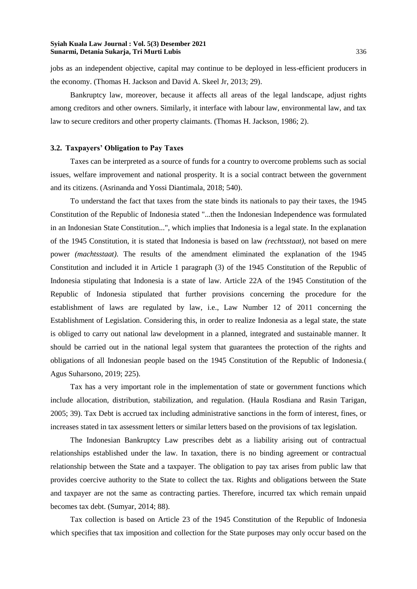jobs as an independent objective, capital may continue to be deployed in less-efficient producers in the economy. (Thomas H. Jackson and David A. Skeel Jr, 2013; 29).

Bankruptcy law, moreover, because it affects all areas of the legal landscape, adjust rights among creditors and other owners. Similarly, it interface with labour law, environmental law, and tax law to secure creditors and other property claimants. (Thomas H. Jackson, 1986; 2).

#### **3.2. Taxpayers' Obligation to Pay Taxes**

Taxes can be interpreted as a source of funds for a country to overcome problems such as social issues, welfare improvement and national prosperity. It is a social contract between the government and its citizens. (Asrinanda and Yossi Diantimala, 2018; 540).

To understand the fact that taxes from the state binds its nationals to pay their taxes, the 1945 Constitution of the Republic of Indonesia stated "...then the Indonesian Independence was formulated in an Indonesian State Constitution...", which implies that Indonesia is a legal state. In the explanation of the 1945 Constitution, it is stated that Indonesia is based on law *(rechtsstaat),* not based on mere power *(machtsstaat)*. The results of the amendment eliminated the explanation of the 1945 Constitution and included it in Article 1 paragraph (3) of the 1945 Constitution of the Republic of Indonesia stipulating that Indonesia is a state of law. Article 22A of the 1945 Constitution of the Republic of Indonesia stipulated that further provisions concerning the procedure for the establishment of laws are regulated by law, i.e., Law Number 12 of 2011 concerning the Establishment of Legislation. Considering this, in order to realize Indonesia as a legal state, the state is obliged to carry out national law development in a planned, integrated and sustainable manner. It should be carried out in the national legal system that guarantees the protection of the rights and obligations of all Indonesian people based on the 1945 Constitution of the Republic of Indonesia.( Agus Suharsono, 2019; 225).

Tax has a very important role in the implementation of state or government functions which include allocation, distribution, stabilization, and regulation. (Haula Rosdiana and Rasin Tarigan, 2005; 39). Tax Debt is accrued tax including administrative sanctions in the form of interest, fines, or increases stated in tax assessment letters or similar letters based on the provisions of tax legislation.

The Indonesian Bankruptcy Law prescribes debt as a liability arising out of contractual relationships established under the law. In taxation, there is no binding agreement or contractual relationship between the State and a taxpayer. The obligation to pay tax arises from public law that provides coercive authority to the State to collect the tax. Rights and obligations between the State and taxpayer are not the same as contracting parties. Therefore, incurred tax which remain unpaid becomes tax debt. (Sumyar, 2014; 88).

Tax collection is based on Article 23 of the 1945 Constitution of the Republic of Indonesia which specifies that tax imposition and collection for the State purposes may only occur based on the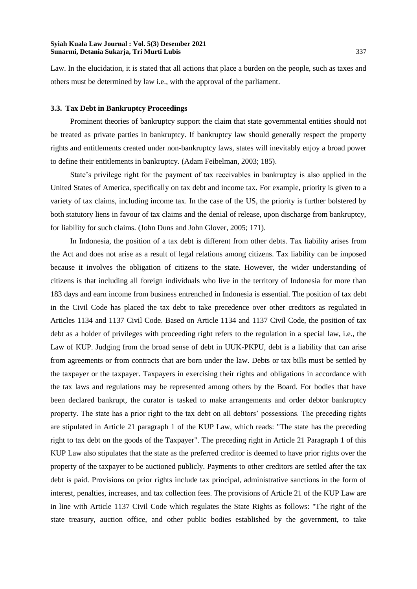Law. In the elucidation, it is stated that all actions that place a burden on the people, such as taxes and others must be determined by law i.e., with the approval of the parliament.

# **3.3. Tax Debt in Bankruptcy Proceedings**

Prominent theories of bankruptcy support the claim that state governmental entities should not be treated as private parties in bankruptcy. If bankruptcy law should generally respect the property rights and entitlements created under non-bankruptcy laws, states will inevitably enjoy a broad power to define their entitlements in bankruptcy. (Adam Feibelman, 2003; 185).

State's privilege right for the payment of tax receivables in bankruptcy is also applied in the United States of America, specifically on tax debt and income tax. For example, priority is given to a variety of tax claims, including income tax. In the case of the US, the priority is further bolstered by both statutory liens in favour of tax claims and the denial of release, upon discharge from bankruptcy, for liability for such claims. (John Duns and John Glover, 2005; 171).

In Indonesia, the position of a tax debt is different from other debts. Tax liability arises from the Act and does not arise as a result of legal relations among citizens. Tax liability can be imposed because it involves the obligation of citizens to the state. However, the wider understanding of citizens is that including all foreign individuals who live in the territory of Indonesia for more than 183 days and earn income from business entrenched in Indonesia is essential. The position of tax debt in the Civil Code has placed the tax debt to take precedence over other creditors as regulated in Articles 1134 and 1137 Civil Code. Based on Article 1134 and 1137 Civil Code, the position of tax debt as a holder of privileges with proceeding right refers to the regulation in a special law, i.e., the Law of KUP. Judging from the broad sense of debt in UUK-PKPU, debt is a liability that can arise from agreements or from contracts that are born under the law. Debts or tax bills must be settled by the taxpayer or the taxpayer. Taxpayers in exercising their rights and obligations in accordance with the tax laws and regulations may be represented among others by the Board. For bodies that have been declared bankrupt, the curator is tasked to make arrangements and order debtor bankruptcy property. The state has a prior right to the tax debt on all debtors' possessions. The preceding rights are stipulated in Article 21 paragraph 1 of the KUP Law, which reads: "The state has the preceding right to tax debt on the goods of the Taxpayer". The preceding right in Article 21 Paragraph 1 of this KUP Law also stipulates that the state as the preferred creditor is deemed to have prior rights over the property of the taxpayer to be auctioned publicly. Payments to other creditors are settled after the tax debt is paid. Provisions on prior rights include tax principal, administrative sanctions in the form of interest, penalties, increases, and tax collection fees. The provisions of Article 21 of the KUP Law are in line with Article 1137 Civil Code which regulates the State Rights as follows: "The right of the state treasury, auction office, and other public bodies established by the government, to take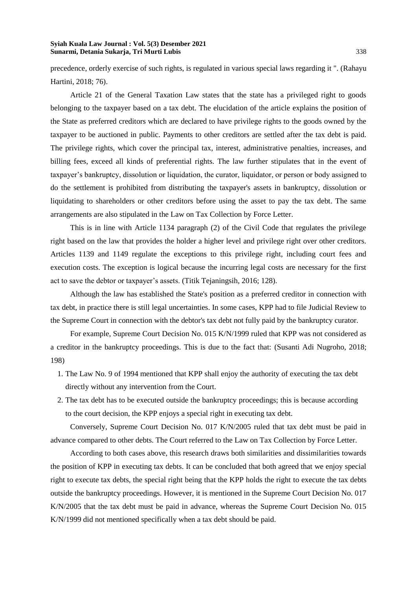precedence, orderly exercise of such rights, is regulated in various special laws regarding it ". (Rahayu Hartini, 2018; 76).

Article 21 of the General Taxation Law states that the state has a privileged right to goods belonging to the taxpayer based on a tax debt. The elucidation of the article explains the position of the State as preferred creditors which are declared to have privilege rights to the goods owned by the taxpayer to be auctioned in public. Payments to other creditors are settled after the tax debt is paid. The privilege rights, which cover the principal tax, interest, administrative penalties, increases, and billing fees, exceed all kinds of preferential rights. The law further stipulates that in the event of taxpayer's bankruptcy, dissolution or liquidation, the curator, liquidator, or person or body assigned to do the settlement is prohibited from distributing the taxpayer's assets in bankruptcy, dissolution or liquidating to shareholders or other creditors before using the asset to pay the tax debt. The same arrangements are also stipulated in the Law on Tax Collection by Force Letter.

This is in line with Article 1134 paragraph (2) of the Civil Code that regulates the privilege right based on the law that provides the holder a higher level and privilege right over other creditors. Articles 1139 and 1149 regulate the exceptions to this privilege right, including court fees and execution costs. The exception is logical because the incurring legal costs are necessary for the first act to save the debtor or taxpayer's assets. (Titik Tejaningsih, 2016; 128).

Although the law has established the State's position as a preferred creditor in connection with tax debt, in practice there is still legal uncertainties. In some cases, KPP had to file Judicial Review to the Supreme Court in connection with the debtor's tax debt not fully paid by the bankruptcy curator.

For example, Supreme Court Decision No. 015 K/N/1999 ruled that KPP was not considered as a creditor in the bankruptcy proceedings. This is due to the fact that: (Susanti Adi Nugroho, 2018; 198)

- 1. The Law No. 9 of 1994 mentioned that KPP shall enjoy the authority of executing the tax debt directly without any intervention from the Court.
- 2. The tax debt has to be executed outside the bankruptcy proceedings; this is because according to the court decision, the KPP enjoys a special right in executing tax debt.

Conversely, Supreme Court Decision No. 017 K/N/2005 ruled that tax debt must be paid in advance compared to other debts. The Court referred to the Law on Tax Collection by Force Letter.

According to both cases above, this research draws both similarities and dissimilarities towards the position of KPP in executing tax debts. It can be concluded that both agreed that we enjoy special right to execute tax debts, the special right being that the KPP holds the right to execute the tax debts outside the bankruptcy proceedings. However, it is mentioned in the Supreme Court Decision No. 017 K/N/2005 that the tax debt must be paid in advance, whereas the Supreme Court Decision No. 015 K/N/1999 did not mentioned specifically when a tax debt should be paid.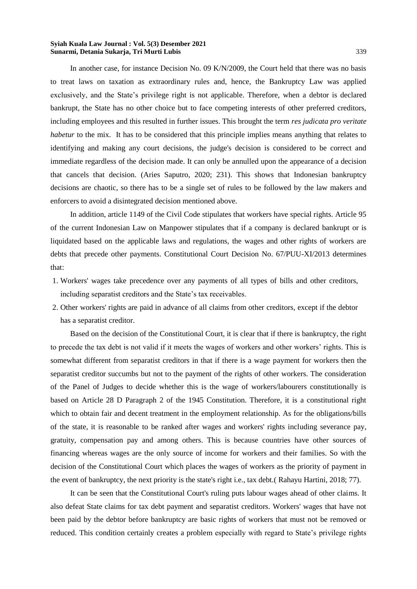In another case, for instance Decision No. 09 K/N/2009, the Court held that there was no basis to treat laws on taxation as extraordinary rules and, hence, the Bankruptcy Law was applied exclusively, and the State's privilege right is not applicable. Therefore, when a debtor is declared bankrupt, the State has no other choice but to face competing interests of other preferred creditors, including employees and this resulted in further issues. This brought the term *res judicata pro veritate habetur* to the mix. It has to be considered that this principle implies means anything that relates to identifying and making any court decisions, the judge's decision is considered to be correct and immediate regardless of the decision made. It can only be annulled upon the appearance of a decision that cancels that decision. (Aries Saputro, 2020; 231). This shows that Indonesian bankruptcy decisions are chaotic, so there has to be a single set of rules to be followed by the law makers and enforcers to avoid a disintegrated decision mentioned above.

In addition, article 1149 of the Civil Code stipulates that workers have special rights. Article 95 of the current Indonesian Law on Manpower stipulates that if a company is declared bankrupt or is liquidated based on the applicable laws and regulations, the wages and other rights of workers are debts that precede other payments. Constitutional Court Decision No. 67/PUU-XI/2013 determines that:

- 1. Workers' wages take precedence over any payments of all types of bills and other creditors, including separatist creditors and the State's tax receivables.
- 2. Other workers' rights are paid in advance of all claims from other creditors, except if the debtor has a separatist creditor.

Based on the decision of the Constitutional Court, it is clear that if there is bankruptcy, the right to precede the tax debt is not valid if it meets the wages of workers and other workers' rights. This is somewhat different from separatist creditors in that if there is a wage payment for workers then the separatist creditor succumbs but not to the payment of the rights of other workers. The consideration of the Panel of Judges to decide whether this is the wage of workers/labourers constitutionally is based on Article 28 D Paragraph 2 of the 1945 Constitution. Therefore, it is a constitutional right which to obtain fair and decent treatment in the employment relationship. As for the obligations/bills of the state, it is reasonable to be ranked after wages and workers' rights including severance pay, gratuity, compensation pay and among others. This is because countries have other sources of financing whereas wages are the only source of income for workers and their families. So with the decision of the Constitutional Court which places the wages of workers as the priority of payment in the event of bankruptcy, the next priority is the state's right i.e., tax debt.( Rahayu Hartini, 2018; 77).

It can be seen that the Constitutional Court's ruling puts labour wages ahead of other claims. It also defeat State claims for tax debt payment and separatist creditors. Workers' wages that have not been paid by the debtor before bankruptcy are basic rights of workers that must not be removed or reduced. This condition certainly creates a problem especially with regard to State's privilege rights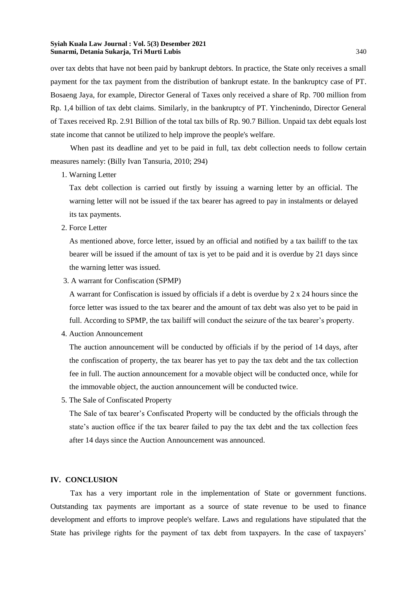over tax debts that have not been paid by bankrupt debtors. In practice, the State only receives a small payment for the tax payment from the distribution of bankrupt estate. In the bankruptcy case of PT. Bosaeng Jaya, for example, Director General of Taxes only received a share of Rp. 700 million from Rp. 1,4 billion of tax debt claims. Similarly, in the bankruptcy of PT. Yinchenindo, Director General of Taxes received Rp. 2.91 Billion of the total tax bills of Rp. 90.7 Billion. Unpaid tax debt equals lost state income that cannot be utilized to help improve the people's welfare.

When past its deadline and yet to be paid in full, tax debt collection needs to follow certain measures namely: (Billy Ivan Tansuria, 2010; 294)

1. Warning Letter

Tax debt collection is carried out firstly by issuing a warning letter by an official. The warning letter will not be issued if the tax bearer has agreed to pay in instalments or delayed its tax payments.

2. Force Letter

As mentioned above, force letter, issued by an official and notified by a tax bailiff to the tax bearer will be issued if the amount of tax is yet to be paid and it is overdue by 21 days since the warning letter was issued.

3. A warrant for Confiscation (SPMP)

A warrant for Confiscation is issued by officials if a debt is overdue by 2 x 24 hours since the force letter was issued to the tax bearer and the amount of tax debt was also yet to be paid in full. According to SPMP, the tax bailiff will conduct the seizure of the tax bearer's property.

4. Auction Announcement

The auction announcement will be conducted by officials if by the period of 14 days, after the confiscation of property, the tax bearer has yet to pay the tax debt and the tax collection fee in full. The auction announcement for a movable object will be conducted once, while for the immovable object, the auction announcement will be conducted twice.

5. The Sale of Confiscated Property

The Sale of tax bearer's Confiscated Property will be conducted by the officials through the state's auction office if the tax bearer failed to pay the tax debt and the tax collection fees after 14 days since the Auction Announcement was announced.

# **IV. CONCLUSION**

Tax has a very important role in the implementation of State or government functions. Outstanding tax payments are important as a source of state revenue to be used to finance development and efforts to improve people's welfare. Laws and regulations have stipulated that the State has privilege rights for the payment of tax debt from taxpayers. In the case of taxpayers'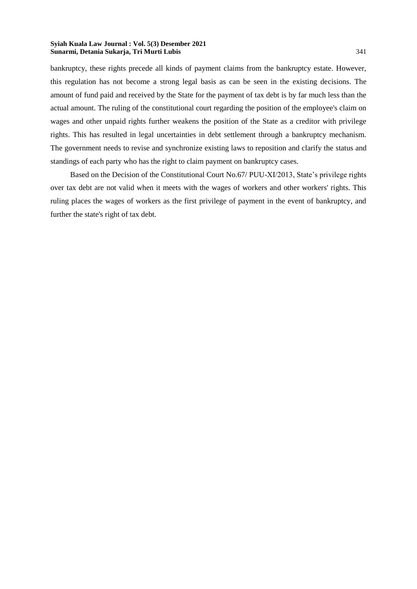bankruptcy, these rights precede all kinds of payment claims from the bankruptcy estate. However, this regulation has not become a strong legal basis as can be seen in the existing decisions. The amount of fund paid and received by the State for the payment of tax debt is by far much less than the actual amount. The ruling of the constitutional court regarding the position of the employee's claim on wages and other unpaid rights further weakens the position of the State as a creditor with privilege rights. This has resulted in legal uncertainties in debt settlement through a bankruptcy mechanism. The government needs to revise and synchronize existing laws to reposition and clarify the status and standings of each party who has the right to claim payment on bankruptcy cases.

Based on the Decision of the Constitutional Court No.67/ PUU-XI/2013, State's privilege rights over tax debt are not valid when it meets with the wages of workers and other workers' rights. This ruling places the wages of workers as the first privilege of payment in the event of bankruptcy, and further the state's right of tax debt.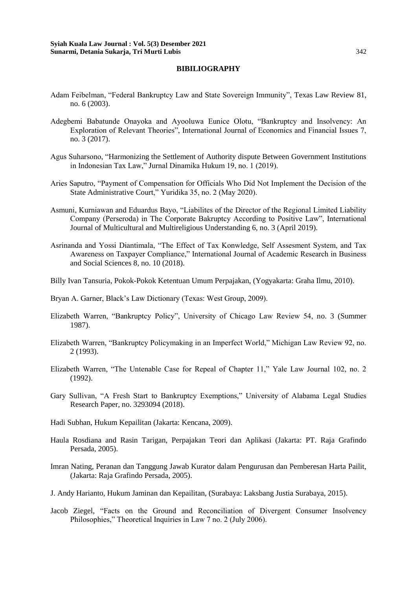## **BIBILIOGRAPHY**

- Adam Feibelman, "Federal Bankruptcy Law and State Sovereign Immunity", Texas Law Review 81, no. 6 (2003).
- Adegbemi Babatunde Onayoka and Ayooluwa Eunice Olotu, "Bankruptcy and Insolvency: An Exploration of Relevant Theories", International Journal of Economics and Financial Issues 7, no. 3 (2017).
- Agus Suharsono, "Harmonizing the Settlement of Authority dispute Between Government Institutions in Indonesian Tax Law," Jurnal Dinamika Hukum 19, no. 1 (2019).
- Aries Saputro, "Payment of Compensation for Officials Who Did Not Implement the Decision of the State Administrative Court," Yuridika 35, no. 2 (May 2020).
- Asmuni, Kurniawan and Eduardus Bayo, "Liabilites of the Director of the Regional Limited Liability Company (Perseroda) in The Corporate Bakruptcy According to Positive Law", International Journal of Multicultural and Multireligious Understanding 6, no. 3 (April 2019).
- Asrinanda and Yossi Diantimala, "The Effect of Tax Konwledge, Self Assesment System, and Tax Awareness on Taxpayer Compliance," International Journal of Academic Research in Business and Social Sciences 8, no. 10 (2018).
- Billy Ivan Tansuria, Pokok-Pokok Ketentuan Umum Perpajakan, (Yogyakarta: Graha Ilmu, 2010).
- Bryan A. Garner, Black's Law Dictionary (Texas: West Group, 2009).
- Elizabeth Warren, "Bankruptcy Policy", University of Chicago Law Review 54, no. 3 (Summer 1987).
- Elizabeth Warren, "Bankruptcy Policymaking in an Imperfect World," Michigan Law Review 92, no. 2 (1993).
- Elizabeth Warren, "The Untenable Case for Repeal of Chapter 11," Yale Law Journal 102, no. 2 (1992).
- Gary Sullivan, "A Fresh Start to Bankruptcy Exemptions," University of Alabama Legal Studies Research Paper, no. 3293094 (2018).
- Hadi Subhan, Hukum Kepailitan (Jakarta: Kencana, 2009).
- Haula Rosdiana and Rasin Tarigan, Perpajakan Teori dan Aplikasi (Jakarta: PT. Raja Grafindo Persada, 2005).
- Imran Nating, Peranan dan Tanggung Jawab Kurator dalam Pengurusan dan Pemberesan Harta Pailit, (Jakarta: Raja Grafindo Persada, 2005).
- J. Andy Harianto, Hukum Jaminan dan Kepailitan, (Surabaya: Laksbang Justia Surabaya, 2015).
- Jacob Ziegel, "Facts on the Ground and Reconciliation of Divergent Consumer Insolvency Philosophies," Theoretical Inquiries in Law 7 no. 2 (July 2006).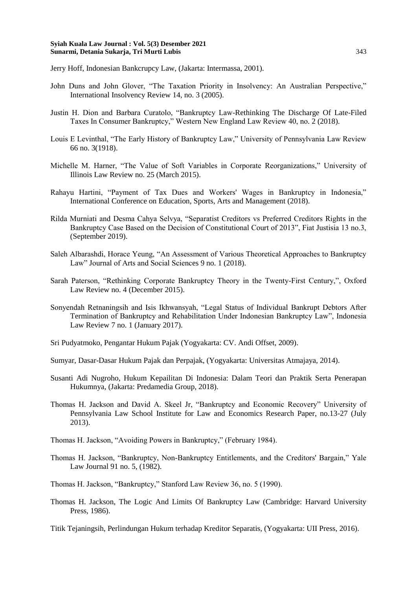Jerry Hoff, Indonesian Bankcrupcy Law, (Jakarta: Intermassa, 2001).

- John Duns and John Glover, "The Taxation Priority in Insolvency: An Australian Perspective," International Insolvency Review 14, no. 3 (2005).
- Justin H. Dion and Barbara Curatolo, "Bankruptcy Law-Rethinking The Discharge Of Late-Filed Taxes In Consumer Bankruptcy," Western New England Law Review 40, no. 2 (2018).
- Louis E Levinthal, "The Early History of Bankruptcy Law," University of Pennsylvania Law Review 66 no. 3(1918).
- Michelle M. Harner, "The Value of Soft Variables in Corporate Reorganizations," University of Illinois Law Review no. 25 (March 2015).
- Rahayu Hartini, "Payment of Tax Dues and Workers' Wages in Bankruptcy in Indonesia," International Conference on Education, Sports, Arts and Management (2018).
- Rilda Murniati and Desma Cahya Selvya, "Separatist Creditors vs Preferred Creditors Rights in the Bankruptcy Case Based on the Decision of Constitutional Court of 2013", Fiat Justisia 13 no.3, (September 2019).
- Saleh Albarashdi, Horace Yeung, "An Assessment of Various Theoretical Approaches to Bankruptcy Law" Journal of Arts and Social Sciences 9 no. 1 (2018).
- Sarah Paterson, "Rethinking Corporate Bankruptcy Theory in the Twenty-First Century,", Oxford Law Review no. 4 (December 2015).
- Sonyendah Retnaningsih and Isis Ikhwansyah, "Legal Status of Individual Bankrupt Debtors After Termination of Bankruptcy and Rehabilitation Under Indonesian Bankruptcy Law", Indonesia Law Review 7 no. 1 (January 2017).
- Sri Pudyatmoko, Pengantar Hukum Pajak (Yogyakarta: CV. Andi Offset, 2009).
- Sumyar, Dasar-Dasar Hukum Pajak dan Perpajak, (Yogyakarta: Universitas Atmajaya, 2014).
- Susanti Adi Nugroho, Hukum Kepailitan Di Indonesia: Dalam Teori dan Praktik Serta Penerapan Hukumnya, (Jakarta: Predamedia Group, 2018).
- Thomas H. Jackson and David A. Skeel Jr, "Bankruptcy and Economic Recovery" University of Pennsylvania Law School Institute for Law and Economics Research Paper, no.13-27 (July 2013).
- Thomas H. Jackson, "Avoiding Powers in Bankruptcy," (February 1984).
- Thomas H. Jackson, "Bankruptcy, Non-Bankruptcy Entitlements, and the Creditors' Bargain," Yale Law Journal 91 no. 5, (1982).
- Thomas H. Jackson, "Bankruptcy," Stanford Law Review 36, no. 5 (1990).
- Thomas H. Jackson, The Logic And Limits Of Bankruptcy Law (Cambridge: Harvard University Press, 1986).

Titik Tejaningsih, Perlindungan Hukum terhadap Kreditor Separatis, (Yogyakarta: UII Press, 2016).